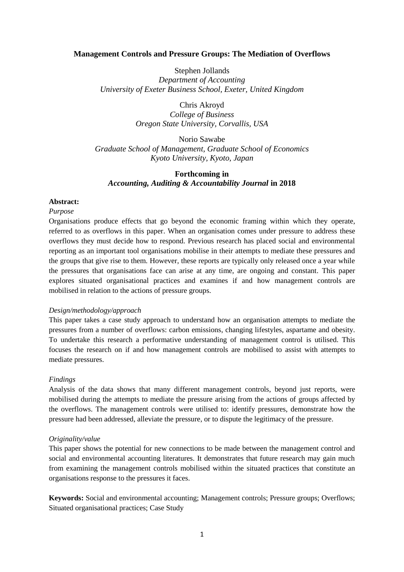# **Management Controls and Pressure Groups: The Mediation of Overflows**

Stephen Jollands *Department of Accounting University of Exeter Business School, Exeter, United Kingdom*

> Chris Akroyd *College of Business Oregon State University, Corvallis, USA*

Norio Sawabe *Graduate School of Management, Graduate School of Economics Kyoto University, Kyoto, Japan*

# **Forthcoming in**  *Accounting, Auditing & Accountability Journal* **in 2018**

#### **Abstract:**

### *Purpose*

Organisations produce effects that go beyond the economic framing within which they operate, referred to as overflows in this paper. When an organisation comes under pressure to address these overflows they must decide how to respond. Previous research has placed social and environmental reporting as an important tool organisations mobilise in their attempts to mediate these pressures and the groups that give rise to them. However, these reports are typically only released once a year while the pressures that organisations face can arise at any time, are ongoing and constant. This paper explores situated organisational practices and examines if and how management controls are mobilised in relation to the actions of pressure groups.

### *Design/methodology/approach*

This paper takes a case study approach to understand how an organisation attempts to mediate the pressures from a number of overflows: carbon emissions, changing lifestyles, aspartame and obesity. To undertake this research a performative understanding of management control is utilised. This focuses the research on if and how management controls are mobilised to assist with attempts to mediate pressures.

#### *Findings*

Analysis of the data shows that many different management controls, beyond just reports, were mobilised during the attempts to mediate the pressure arising from the actions of groups affected by the overflows. The management controls were utilised to: identify pressures, demonstrate how the pressure had been addressed, alleviate the pressure, or to dispute the legitimacy of the pressure.

#### *Originality/value*

This paper shows the potential for new connections to be made between the management control and social and environmental accounting literatures. It demonstrates that future research may gain much from examining the management controls mobilised within the situated practices that constitute an organisations response to the pressures it faces.

**Keywords:** Social and environmental accounting; Management controls; Pressure groups; Overflows; Situated organisational practices; Case Study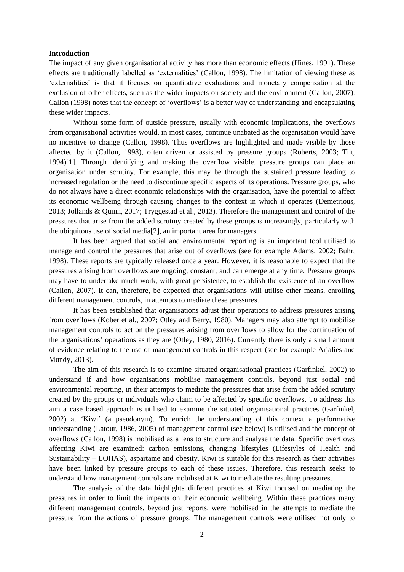#### **Introduction**

The impact of any given organisational activity has more than economic effects [\(Hines, 1991\)](#page-21-0). These effects are traditionally labelled as 'externalities' [\(Callon, 1998\)](#page-20-0). The limitation of viewing these as 'externalities' is that it focuses on quantitative evaluations and monetary compensation at the exclusion of other effects, such as the wider impacts on society and the environment [\(Callon, 2007\)](#page-20-1). [Callon \(1998\)](#page-20-0) notes that the concept of 'overflows' is a better way of understanding and encapsulating these wider impacts.

Without some form of outside pressure, usually with economic implications, the overflows from organisational activities would, in most cases, continue unabated as the organisation would have no incentive to change [\(Callon, 1998\)](#page-20-0). Thus overflows are highlighted and made visible by those affected by it [\(Callon, 1998\)](#page-20-0), often driven or assisted by pressure groups (Roberts, 2003; [Tilt,](#page-22-0)  [1994\)](#page-22-0)[1]. Through identifying and making the overflow visible, pressure groups can place an organisation under scrutiny. For example, this may be through the sustained pressure leading to increased regulation or the need to discontinue specific aspects of its operations. Pressure groups, who do not always have a direct economic relationships with the organisation, have the potential to affect its economic wellbeing through causing changes to the context in which it operates (Demetrious, 2013; [Jollands & Quinn, 2017;](#page-21-1) [Tryggestad et al., 2013\)](#page-23-0). Therefore the management and control of the pressures that arise from the added scrutiny created by these groups is increasingly, particularly with the ubiquitous use of social media[2], an important area for managers.

It has been argued that social and environmental reporting is an important tool utilised to manage and control the pressures that arise out of overflows (see for example [Adams, 2002;](#page-20-2) [Buhr,](#page-20-3)  [1998\)](#page-20-3). These reports are typically released once a year. However, it is reasonable to expect that the pressures arising from overflows are ongoing, constant, and can emerge at any time. Pressure groups may have to undertake much work, with great persistence, to establish the existence of an overflow [\(Callon, 2007\)](#page-20-1). It can, therefore, be expected that organisations will utilise other means, enrolling different management controls, in attempts to mediate these pressures.

It has been established that organisations adjust their operations to address pressures arising from overflows [\(Kober et al., 2007;](#page-21-2) Otley and Berry, 1980). Managers may also attempt to mobilise management controls to act on the pressures arising from overflows to allow for the continuation of the organisations' operations as they are (Otley, [1980,](#page-22-1) 2016). Currently there is only a small amount of evidence relating to the use of management controls in this respect (see for example Arjalies and Mundy, 2013).

The aim of this research is to examine situated organisational practices [\(Garfinkel, 2002\)](#page-21-3) to understand if and how organisations mobilise management controls, beyond just social and environmental reporting, in their attempts to mediate the pressures that arise from the added scrutiny created by the groups or individuals who claim to be affected by specific overflows. To address this aim a case based approach is utilised to examine the situated organisational practices [\(Garfinkel,](#page-21-3)  [2002\)](#page-21-3) at 'Kiwi' (a pseudonym). To enrich the understanding of this context a performative understanding (Latour, 1986, [2005\)](#page-21-4) of management control (see below) is utilised and the concept of overflows (Callon, 1998) is mobilised as a lens to structure and analyse the data. Specific overflows affecting Kiwi are examined: carbon emissions, changing lifestyles (Lifestyles of Health and Sustainability – LOHAS), aspartame and obesity. Kiwi is suitable for this research as their activities have been linked by pressure groups to each of these issues. Therefore, this research seeks to understand how management controls are mobilised at Kiwi to mediate the resulting pressures.

The analysis of the data highlights different practices at Kiwi focused on mediating the pressures in order to limit the impacts on their economic wellbeing. Within these practices many different management controls, beyond just reports, were mobilised in the attempts to mediate the pressure from the actions of pressure groups. The management controls were utilised not only to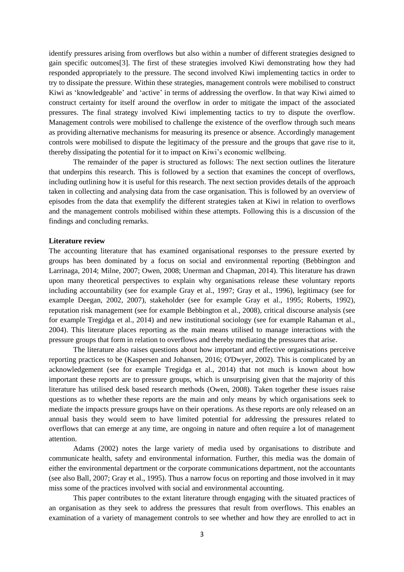identify pressures arising from overflows but also within a number of different strategies designed to gain specific outcomes[3]. The first of these strategies involved Kiwi demonstrating how they had responded appropriately to the pressure. The second involved Kiwi implementing tactics in order to try to dissipate the pressure. Within these strategies, management controls were mobilised to construct Kiwi as 'knowledgeable' and 'active' in terms of addressing the overflow. In that way Kiwi aimed to construct certainty for itself around the overflow in order to mitigate the impact of the associated pressures. The final strategy involved Kiwi implementing tactics to try to dispute the overflow. Management controls were mobilised to challenge the existence of the overflow through such means as providing alternative mechanisms for measuring its presence or absence. Accordingly management controls were mobilised to dispute the legitimacy of the pressure and the groups that gave rise to it, thereby dissipating the potential for it to impact on Kiwi's economic wellbeing.

The remainder of the paper is structured as follows: The next section outlines the literature that underpins this research. This is followed by a section that examines the concept of overflows, including outlining how it is useful for this research. The next section provides details of the approach taken in collecting and analysing data from the case organisation. This is followed by an overview of episodes from the data that exemplify the different strategies taken at Kiwi in relation to overflows and the management controls mobilised within these attempts. Following this is a discussion of the findings and concluding remarks.

## **Literature review**

The accounting literature that has examined organisational responses to the pressure exerted by groups has been dominated by a focus on social and environmental reporting (Bebbington and Larrinaga, 2014; [Milne, 2007;](#page-22-2) [Owen, 2008;](#page-22-3) [Unerman and Chapman, 2014\)](#page-23-1). This literature has drawn upon many theoretical perspectives to explain why organisations release these voluntary reports including accountability [\(see for example Gray et al., 1997;](#page-21-5) Gray et al., 1996), legitimacy (see for example [Deegan, 2002,](#page-20-4) [2007\)](#page-20-5), stakeholder [\(see for example Gray et al., 1995;](#page-21-6) [Roberts, 1992\)](#page-22-4), reputation risk management [\(see for example Bebbington et al., 2008\)](#page-20-6), critical discourse analysis [\(see](#page-22-5)  [for example Tregidga et al., 2014\)](#page-22-5) and new institutional sociology [\(see for example Rahaman et al.,](#page-22-6)  [2004\)](#page-22-6). This literature places reporting as the main means utilised to manage interactions with the pressure groups that form in relation to overflows and thereby mediating the pressures that arise.

The literature also raises questions about how important and effective organisations perceive reporting practices to be (Kaspersen and Johansen, [2016;](#page-21-7) [O'Dwyer, 2002\)](#page-22-7). This is complicated by an acknowledgement [\(see for example Tregidga et al., 2014\)](#page-22-5) that not much is known about how important these reports are to pressure groups, which is unsurprising given that the majority of this literature has utilised desk based research methods [\(Owen, 2008\)](#page-22-3). Taken together these issues raise questions as to whether these reports are the main and only means by which organisations seek to mediate the impacts pressure groups have on their operations. As these reports are only released on an annual basis they would seem to have limited potential for addressing the pressures related to overflows that can emerge at any time, are ongoing in nature and often require a lot of management attention.

[Adams \(2002\)](#page-20-2) notes the large variety of media used by organisations to distribute and communicate health, safety and environmental information. Further, this media was the domain of either the environmental department or the corporate communications department, not the accountants [\(see also Ball, 2007;](#page-20-7) [Gray et al., 1995\)](#page-21-8). Thus a narrow focus on reporting and those involved in it may miss some of the practices involved with social and environmental accounting.

This paper contributes to the extant literature through engaging with the situated practices of an organisation as they seek to address the pressures that result from overflows. This enables an examination of a variety of management controls to see whether and how they are enrolled to act in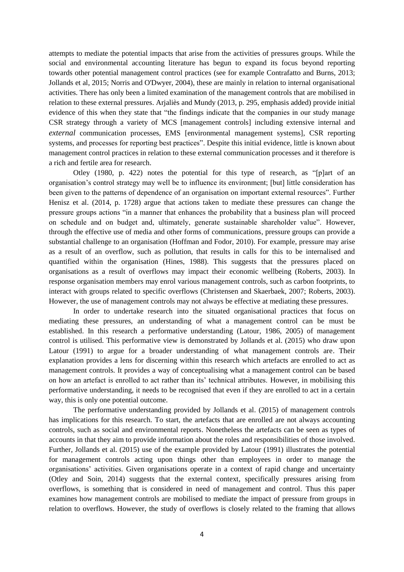attempts to mediate the potential impacts that arise from the activities of pressures groups. While the social and environmental accounting literature has begun to expand its focus beyond reporting towards other potential management control practices [\(see for example Contrafatto and Burns, 2013;](#page-20-8) [Jollands et al, 2015;](#page-21-9) [Norris and O'Dwyer, 2004\)](#page-22-8), these are mainly in relation to internal organisational activities. There has only been a limited examination of the management controls that are mobilised in relation to these external pressures. Arjaliès and Mundy (2013, p. 295, emphasis added) provide initial evidence of this when they state that "the findings indicate that the companies in our study manage CSR strategy through a variety of MCS [management controls] including extensive internal and *external* communication processes, EMS [environmental management systems], CSR reporting systems, and processes for reporting best practices". Despite this initial evidence, little is known about management control practices in relation to these external communication processes and it therefore is a rich and fertile area for research.

Otley [\(1980, p. 422\)](#page-22-1) notes the potential for this type of research, as "[p]art of an organisation's control strategy may well be to influence its environment; [but] little consideration has been given to the patterns of dependence of an organisation on important external resources". Further Henisz et al. [\(2014, p. 1728\)](#page-21-10) argue that actions taken to mediate these pressures can change the pressure groups actions "in a manner that enhances the probability that a business plan will proceed on schedule and on budget and, ultimately, generate sustainable shareholder value". However, through the effective use of media and other forms of communications, pressure groups can provide a substantial challenge to an organisation [\(Hoffman and Fodor, 2010\)](#page-21-11). For example, pressure may arise as a result of an overflow, such as pollution, that results in calls for this to be internalised and quantified within the organisation [\(Hines, 1988\)](#page-21-12). This suggests that the pressures placed on organisations as a result of overflows may impact their economic wellbeing (Roberts, 2003). In response organisation members may enrol various management controls, such as carbon footprints, to interact with groups related to specific overflows [\(Christensen and Skaerbaek, 2007;](#page-20-9) Roberts, 2003). However, the use of management controls may not always be effective at mediating these pressures.

In order to undertake research into the situated organisational practices that focus on mediating these pressures, an understanding of what a management control can be must be established. In this research a performative understanding (Latour, 1986, [2005\)](#page-21-4) of management control is utilised. This performative view is demonstrated by [Jollands et al. \(2015\)](#page-21-9) who draw upon Latour (1991) to argue for a broader understanding of what management controls are. Their explanation provides a lens for discerning within this research which artefacts are enrolled to act as management controls. It provides a way of conceptualising what a management control can be based on how an artefact is enrolled to act rather than its' technical attributes. However, in mobilising this performative understanding, it needs to be recognised that even if they are enrolled to act in a certain way, this is only one potential outcome.

The performative understanding provided by [Jollands et al. \(2015\)](#page-21-9) of management controls has implications for this research. To start, the artefacts that are enrolled are not always accounting controls, such as social and environmental reports. Nonetheless the artefacts can be seen as types of accounts in that they aim to provide information about the roles and responsibilities of those involved. Further, [Jollands et al. \(2015\)](#page-21-9) use of the example provided by Latour (1991) illustrates the potential for management controls acting upon things other than employees in order to manage the organisations' activities. Given organisations operate in a context of rapid change and uncertainty [\(Otley and Soin, 2014\)](#page-22-9) suggests that the external context, specifically pressures arising from overflows, is something that is considered in need of management and control. Thus this paper examines how management controls are mobilised to mediate the impact of pressure from groups in relation to overflows. However, the study of overflows is closely related to the framing that allows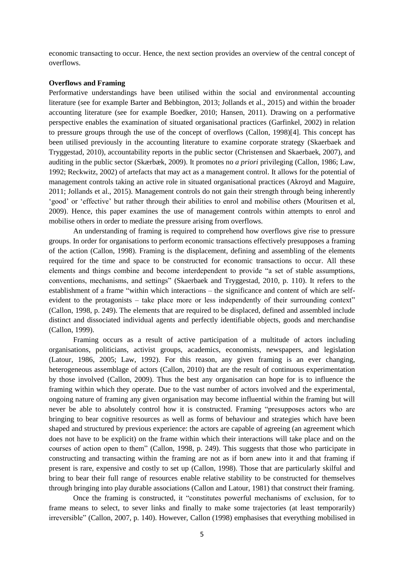economic transacting to occur. Hence, the next section provides an overview of the central concept of overflows.

#### **Overflows and Framing**

Performative understandings have been utilised within the social and environmental accounting literature (see for example Barter and Bebbington, [2013;](#page-20-10) [Jollands et al., 2015\)](#page-21-9) and within the broader accounting literature (see for example [Boedker, 2010;](#page-20-11) [Hansen, 2011\)](#page-21-13). Drawing on a performative perspective enables the examination of situated organisational practices [\(Garfinkel, 2002\)](#page-21-3) in relation to pressure groups through the use of the concept of overflows [\(Callon, 1998\)](#page-20-0)[4]. This concept has been utilised previously in the accounting literature to examine corporate strategy [\(Skaerbaek and](#page-22-10)  [Tryggestad, 2010\)](#page-22-10), accountability reports in the public sector [\(Christensen and Skaerbaek, 2007\)](#page-20-9), and auditing in the public sector (Skærbæk, 2009). It promotes no *a priori* privileging [\(Callon, 1986;](#page-20-12) [Law,](#page-21-14)  [1992;](#page-21-14) [Reckwitz, 2002\)](#page-22-11) of artefacts that may act as a management control. It allows for the potential of management controls taking an active role in situated organisational practices (Akroyd and Maguire, [2011;](#page-20-13) [Jollands et al., 2015\)](#page-21-9). Management controls do not gain their strength through being inherently 'good' or 'effective' but rather through their abilities to enrol and mobilise others [\(Mouritsen et al,](#page-22-12)  [2009\)](#page-22-12). Hence, this paper examines the use of management controls within attempts to enrol and mobilise others in order to mediate the pressure arising from overflows.

An understanding of framing is required to comprehend how overflows give rise to pressure groups. In order for organisations to perform economic transactions effectively presupposes a framing of the action [\(Callon, 1998\)](#page-20-0). Framing is the displacement, defining and assembling of the elements required for the time and space to be constructed for economic transactions to occur. All these elements and things combine and become interdependent to provide "a set of stable assumptions, conventions, mechanisms, and settings" [\(Skaerbaek and Tryggestad, 2010, p. 110\)](#page-22-10). It refers to the establishment of a frame "within which interactions – the significance and content of which are selfevident to the protagonists – take place more or less independently of their surrounding context" [\(Callon, 1998, p. 249\)](#page-20-0). The elements that are required to be displaced, defined and assembled include distinct and dissociated individual agents and perfectly identifiable objects, goods and merchandise (Callon, 1999).

Framing occurs as a result of active participation of a multitude of actors including organisations, politicians, activist groups, academics, economists, newspapers, and legislation (Latour, 1986, [2005;](#page-21-4) [Law, 1992\)](#page-21-14). For this reason, any given framing is an ever changing, heterogeneous assemblage of actors [\(Callon, 2010\)](#page-20-14) that are the result of continuous experimentation by those involved [\(Callon, 2009\)](#page-20-15). Thus the best any organisation can hope for is to influence the framing within which they operate. Due to the vast number of actors involved and the experimental, ongoing nature of framing any given organisation may become influential within the framing but will never be able to absolutely control how it is constructed. Framing "presupposes actors who are bringing to bear cognitive resources as well as forms of behaviour and strategies which have been shaped and structured by previous experience: the actors are capable of agreeing (an agreement which does not have to be explicit) on the frame within which their interactions will take place and on the courses of action open to them" [\(Callon, 1998, p. 249\)](#page-20-0). This suggests that those who participate in constructing and transacting within the framing are not as if born anew into it and that framing if present is rare, expensive and costly to set up [\(Callon, 1998\)](#page-20-0). Those that are particularly skilful and bring to bear their full range of resources enable relative stability to be constructed for themselves through bringing into play durable associations [\(Callon and Latour, 1981\)](#page-20-16) that construct their framing.

Once the framing is constructed, it "constitutes powerful mechanisms of exclusion, for to frame means to select, to sever links and finally to make some trajectories (at least temporarily) irreversible" [\(Callon, 2007, p. 140\)](#page-20-1). However, [Callon \(1998\)](#page-20-0) emphasises that everything mobilised in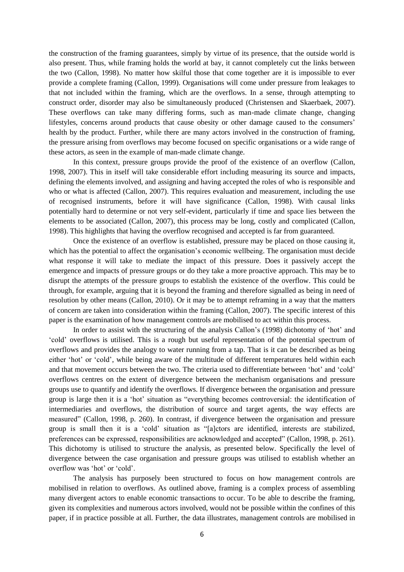the construction of the framing guarantees, simply by virtue of its presence, that the outside world is also present. Thus, while framing holds the world at bay, it cannot completely cut the links between the two [\(Callon, 1998\)](#page-20-0). No matter how skilful those that come together are it is impossible to ever provide a complete framing (Callon, 1999). Organisations will come under pressure from leakages to that not included within the framing, which are the overflows. In a sense, through attempting to construct order, disorder may also be simultaneously produced [\(Christensen and Skaerbaek, 2007\)](#page-20-9). These overflows can take many differing forms, such as man-made climate change, changing lifestyles, concerns around products that cause obesity or other damage caused to the consumers' health by the product. Further, while there are many actors involved in the construction of framing, the pressure arising from overflows may become focused on specific organisations or a wide range of these actors, as seen in the example of man-made climate change.

In this context, pressure groups provide the proof of the existence of an overflow [\(Callon,](#page-20-0)  [1998,](#page-20-0) [2007\)](#page-20-1). This in itself will take considerable effort including measuring its source and impacts, defining the elements involved, and assigning and having accepted the roles of who is responsible and who or what is affected [\(Callon, 2007\)](#page-20-1). This requires evaluation and measurement, including the use of recognised instruments, before it will have significance [\(Callon, 1998\)](#page-20-0). With causal links potentially hard to determine or not very self-evident, particularly if time and space lies between the elements to be associated [\(Callon, 2007\)](#page-20-1), this process may be long, costly and complicated [\(Callon,](#page-20-0)  [1998\)](#page-20-0). This highlights that having the overflow recognised and accepted is far from guaranteed.

Once the existence of an overflow is established, pressure may be placed on those causing it, which has the potential to affect the organisation's economic wellbeing. The organisation must decide what response it will take to mediate the impact of this pressure. Does it passively accept the emergence and impacts of pressure groups or do they take a more proactive approach. This may be to disrupt the attempts of the pressure groups to establish the existence of the overflow. This could be through, for example, arguing that it is beyond the framing and therefore signalled as being in need of resolution by other means [\(Callon, 2010\)](#page-20-14). Or it may be to attempt reframing in a way that the matters of concern are taken into consideration within the framing [\(Callon, 2007\)](#page-20-1). The specific interest of this paper is the examination of how management controls are mobilised to act within this process.

In order to assist with the structuring of the analysis Callon's [\(1998\)](#page-20-0) dichotomy of 'hot' and 'cold' overflows is utilised. This is a rough but useful representation of the potential spectrum of overflows and provides the analogy to water running from a tap. That is it can be described as being either 'hot' or 'cold', while being aware of the multitude of different temperatures held within each and that movement occurs between the two. The criteria used to differentiate between 'hot' and 'cold' overflows centres on the extent of divergence between the mechanism organisations and pressure groups use to quantify and identify the overflows. If divergence between the organisation and pressure group is large then it is a 'hot' situation as "everything becomes controversial: the identification of intermediaries and overflows, the distribution of source and target agents, the way effects are measured" [\(Callon, 1998, p. 260\)](#page-20-0). In contrast, if divergence between the organisation and pressure group is small then it is a 'cold' situation as "[a]ctors are identified, interests are stabilized, preferences can be expressed, responsibilities are acknowledged and accepted" [\(Callon, 1998, p. 261\)](#page-20-0). This dichotomy is utilised to structure the analysis, as presented below. Specifically the level of divergence between the case organisation and pressure groups was utilised to establish whether an overflow was 'hot' or 'cold'.

The analysis has purposely been structured to focus on how management controls are mobilised in relation to overflows. As outlined above, framing is a complex process of assembling many divergent actors to enable economic transactions to occur. To be able to describe the framing, given its complexities and numerous actors involved, would not be possible within the confines of this paper, if in practice possible at all. Further, the data illustrates, management controls are mobilised in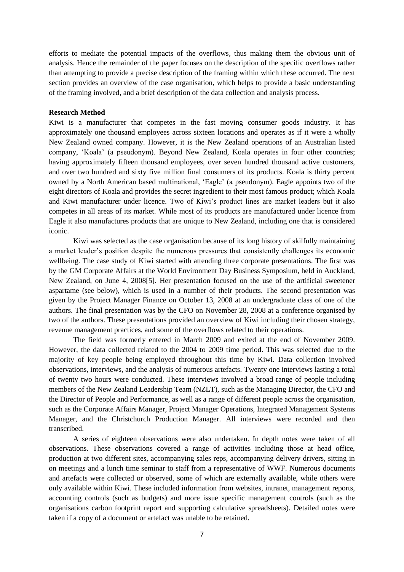efforts to mediate the potential impacts of the overflows, thus making them the obvious unit of analysis. Hence the remainder of the paper focuses on the description of the specific overflows rather than attempting to provide a precise description of the framing within which these occurred. The next section provides an overview of the case organisation, which helps to provide a basic understanding of the framing involved, and a brief description of the data collection and analysis process.

#### **Research Method**

Kiwi is a manufacturer that competes in the fast moving consumer goods industry. It has approximately one thousand employees across sixteen locations and operates as if it were a wholly New Zealand owned company. However, it is the New Zealand operations of an Australian listed company, 'Koala' (a pseudonym). Beyond New Zealand, Koala operates in four other countries; having approximately fifteen thousand employees, over seven hundred thousand active customers, and over two hundred and sixty five million final consumers of its products. Koala is thirty percent owned by a North American based multinational, 'Eagle' (a pseudonym). Eagle appoints two of the eight directors of Koala and provides the secret ingredient to their most famous product; which Koala and Kiwi manufacturer under licence. Two of Kiwi's product lines are market leaders but it also competes in all areas of its market. While most of its products are manufactured under licence from Eagle it also manufactures products that are unique to New Zealand, including one that is considered iconic.

Kiwi was selected as the case organisation because of its long history of skilfully maintaining a market leader's position despite the numerous pressures that consistently challenges its economic wellbeing. The case study of Kiwi started with attending three corporate presentations. The first was by the GM Corporate Affairs at the World Environment Day Business Symposium, held in Auckland, New Zealand, on June 4, 2008[5]. Her presentation focused on the use of the artificial sweetener aspartame (see below), which is used in a number of their products. The second presentation was given by the Project Manager Finance on October 13, 2008 at an undergraduate class of one of the authors. The final presentation was by the CFO on November 28, 2008 at a conference organised by two of the authors. These presentations provided an overview of Kiwi including their chosen strategy, revenue management practices, and some of the overflows related to their operations.

The field was formerly entered in March 2009 and exited at the end of November 2009. However, the data collected related to the 2004 to 2009 time period. This was selected due to the majority of key people being employed throughout this time by Kiwi. Data collection involved observations, interviews, and the analysis of numerous artefacts. Twenty one interviews lasting a total of twenty two hours were conducted. These interviews involved a broad range of people including members of the New Zealand Leadership Team (NZLT), such as the Managing Director, the CFO and the Director of People and Performance, as well as a range of different people across the organisation, such as the Corporate Affairs Manager, Project Manager Operations, Integrated Management Systems Manager, and the Christchurch Production Manager. All interviews were recorded and then transcribed.

A series of eighteen observations were also undertaken. In depth notes were taken of all observations. These observations covered a range of activities including those at head office, production at two different sites, accompanying sales reps, accompanying delivery drivers, sitting in on meetings and a lunch time seminar to staff from a representative of WWF. Numerous documents and artefacts were collected or observed, some of which are externally available, while others were only available within Kiwi. These included information from websites, intranet, management reports, accounting controls (such as budgets) and more issue specific management controls (such as the organisations carbon footprint report and supporting calculative spreadsheets). Detailed notes were taken if a copy of a document or artefact was unable to be retained.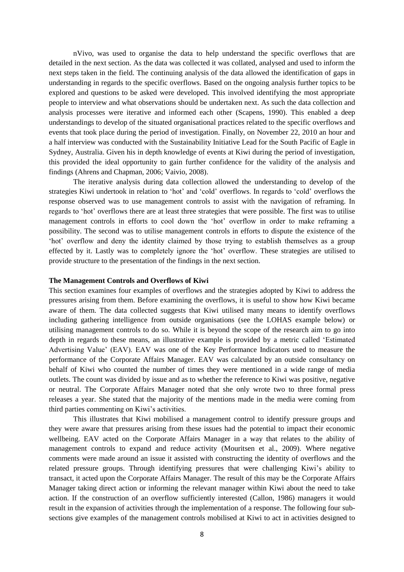nVivo, was used to organise the data to help understand the specific overflows that are detailed in the next section. As the data was collected it was collated, analysed and used to inform the next steps taken in the field. The continuing analysis of the data allowed the identification of gaps in understanding in regards to the specific overflows. Based on the ongoing analysis further topics to be explored and questions to be asked were developed. This involved identifying the most appropriate people to interview and what observations should be undertaken next. As such the data collection and analysis processes were iterative and informed each other [\(Scapens, 1990\)](#page-22-13). This enabled a deep understandings to develop of the situated organisational practices related to the specific overflows and events that took place during the period of investigation. Finally, on November 22, 2010 an hour and a half interview was conducted with the Sustainability Initiative Lead for the South Pacific of Eagle in Sydney, Australia. Given his in depth knowledge of events at Kiwi during the period of investigation, this provided the ideal opportunity to gain further confidence for the validity of the analysis and findings (Ahrens and Chapman, [2006;](#page-20-17) [Vaivio, 2008\)](#page-23-2).

The iterative analysis during data collection allowed the understanding to develop of the strategies Kiwi undertook in relation to 'hot' and 'cold' overflows. In regards to 'cold' overflows the response observed was to use management controls to assist with the navigation of reframing. In regards to 'hot' overflows there are at least three strategies that were possible. The first was to utilise management controls in efforts to cool down the 'hot' overflow in order to make reframing a possibility. The second was to utilise management controls in efforts to dispute the existence of the 'hot' overflow and deny the identity claimed by those trying to establish themselves as a group effected by it. Lastly was to completely ignore the 'hot' overflow. These strategies are utilised to provide structure to the presentation of the findings in the next section.

### **The Management Controls and Overflows of Kiwi**

This section examines four examples of overflows and the strategies adopted by Kiwi to address the pressures arising from them. Before examining the overflows, it is useful to show how Kiwi became aware of them. The data collected suggests that Kiwi utilised many means to identify overflows including gathering intelligence from outside organisations (see the LOHAS example below) or utilising management controls to do so. While it is beyond the scope of the research aim to go into depth in regards to these means, an illustrative example is provided by a metric called 'Estimated Advertising Value' (EAV). EAV was one of the Key Performance Indicators used to measure the performance of the Corporate Affairs Manager. EAV was calculated by an outside consultancy on behalf of Kiwi who counted the number of times they were mentioned in a wide range of media outlets. The count was divided by issue and as to whether the reference to Kiwi was positive, negative or neutral. The Corporate Affairs Manager noted that she only wrote two to three formal press releases a year. She stated that the majority of the mentions made in the media were coming from third parties commenting on Kiwi's activities.

This illustrates that Kiwi mobilised a management control to identify pressure groups and they were aware that pressures arising from these issues had the potential to impact their economic wellbeing. EAV acted on the Corporate Affairs Manager in a way that relates to the ability of management controls to expand and reduce activity [\(Mouritsen et al., 2009\)](#page-22-12). Where negative comments were made around an issue it assisted with constructing the identity of overflows and the related pressure groups. Through identifying pressures that were challenging Kiwi's ability to transact, it acted upon the Corporate Affairs Manager. The result of this may be the Corporate Affairs Manager taking direct action or informing the relevant manager within Kiwi about the need to take action. If the construction of an overflow sufficiently interested [\(Callon, 1986\)](#page-20-12) managers it would result in the expansion of activities through the implementation of a response. The following four subsections give examples of the management controls mobilised at Kiwi to act in activities designed to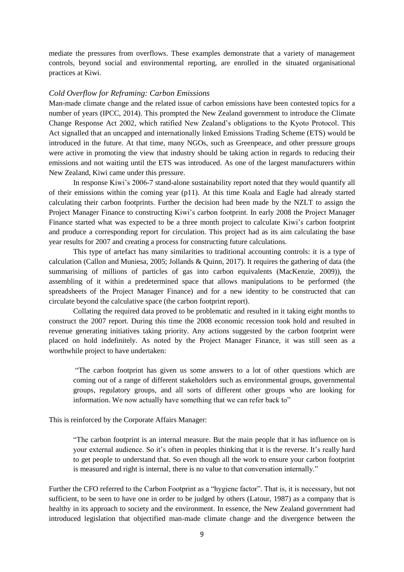mediate the pressures from overflows. These examples demonstrate that a variety of management controls, beyond social and environmental reporting, are enrolled in the situated organisational practices at Kiwi.

### *Cold Overflow for Reframing: Carbon Emissions*

Man-made climate change and the related issue of carbon emissions have been contested topics for a number of years [\(IPCC, 2014\)](#page-21-15). This prompted the New Zealand government to introduce the Climate Change Response Act 2002, which ratified New Zealand's obligations to the Kyoto Protocol. This Act signalled that an uncapped and internationally linked Emissions Trading Scheme (ETS) would be introduced in the future. At that time, many NGOs, such as Greenpeace, and other pressure groups were active in promoting the view that industry should be taking action in regards to reducing their emissions and not waiting until the ETS was introduced. As one of the largest manufacturers within New Zealand, Kiwi came under this pressure.

In response Kiwi's 2006-7 stand-alone sustainability report noted that they would quantify all of their emissions within the coming year (p11). At this time Koala and Eagle had already started calculating their carbon footprints. Further the decision had been made by the NZLT to assign the Project Manager Finance to constructing Kiwi's carbon footprint. In early 2008 the Project Manager Finance started what was expected to be a three month project to calculate Kiwi's carbon footprint and produce a corresponding report for circulation. This project had as its aim calculating the base year results for 2007 and creating a process for constructing future calculations.

This type of artefact has many similarities to traditional accounting controls: it is a type of calculation (Callon and Muniesa, [2005;](#page-20-18) [Jollands & Quinn, 2017\)](#page-21-1). It requires the gathering of data (the summarising of millions of particles of gas into carbon equivalents [\(MacKenzie, 2009\)](#page-22-14)), the assembling of it within a predetermined space that allows manipulations to be performed (the spreadsheets of the Project Manager Finance) and for a new identity to be constructed that can circulate beyond the calculative space (the carbon footprint report).

Collating the required data proved to be problematic and resulted in it taking eight months to construct the 2007 report. During this time the 2008 economic recession took hold and resulted in revenue generating initiatives taking priority. Any actions suggested by the carbon footprint were placed on hold indefinitely. As noted by the Project Manager Finance, it was still seen as a worthwhile project to have undertaken:

"The carbon footprint has given us some answers to a lot of other questions which are coming out of a range of different stakeholders such as environmental groups, governmental groups, regulatory groups, and all sorts of different other groups who are looking for information. We now actually have something that we can refer back to"

This is reinforced by the Corporate Affairs Manager:

"The carbon footprint is an internal measure. But the main people that it has influence on is your external audience. So it's often in peoples thinking that it is the reverse. It's really hard to get people to understand that. So even though all the work to ensure your carbon footprint is measured and right is internal, there is no value to that conversation internally."

Further the CFO referred to the Carbon Footprint as a "hygiene factor". That is, it is necessary, but not sufficient, to be seen to have one in order to be judged by others [\(Latour, 1987\)](#page-21-16) as a company that is healthy in its approach to society and the environment. In essence, the New Zealand government had introduced legislation that objectified man-made climate change and the divergence between the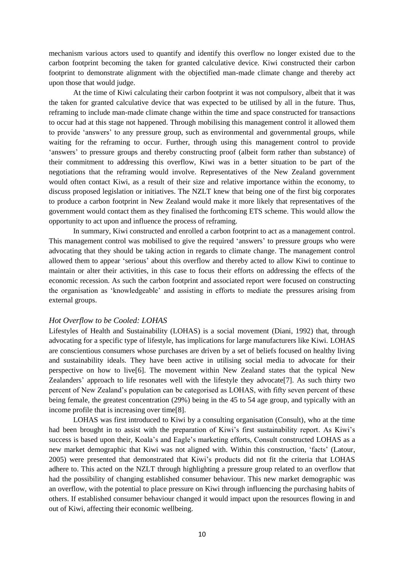mechanism various actors used to quantify and identify this overflow no longer existed due to the carbon footprint becoming the taken for granted calculative device. Kiwi constructed their carbon footprint to demonstrate alignment with the objectified man-made climate change and thereby act upon those that would judge.

At the time of Kiwi calculating their carbon footprint it was not compulsory, albeit that it was the taken for granted calculative device that was expected to be utilised by all in the future. Thus, reframing to include man-made climate change within the time and space constructed for transactions to occur had at this stage not happened. Through mobilising this management control it allowed them to provide 'answers' to any pressure group, such as environmental and governmental groups, while waiting for the reframing to occur. Further, through using this management control to provide 'answers' to pressure groups and thereby constructing proof (albeit form rather than substance) of their commitment to addressing this overflow, Kiwi was in a better situation to be part of the negotiations that the reframing would involve. Representatives of the New Zealand government would often contact Kiwi, as a result of their size and relative importance within the economy, to discuss proposed legislation or initiatives. The NZLT knew that being one of the first big corporates to produce a carbon footprint in New Zealand would make it more likely that representatives of the government would contact them as they finalised the forthcoming ETS scheme. This would allow the opportunity to act upon and influence the process of reframing.

In summary, Kiwi constructed and enrolled a carbon footprint to act as a management control. This management control was mobilised to give the required 'answers' to pressure groups who were advocating that they should be taking action in regards to climate change. The management control allowed them to appear 'serious' about this overflow and thereby acted to allow Kiwi to continue to maintain or alter their activities, in this case to focus their efforts on addressing the effects of the economic recession. As such the carbon footprint and associated report were focused on constructing the organisation as 'knowledgeable' and assisting in efforts to mediate the pressures arising from external groups.

## *Hot Overflow to be Cooled: LOHAS*

Lifestyles of Health and Sustainability (LOHAS) is a social movement [\(Diani, 1992\)](#page-21-17) that, through advocating for a specific type of lifestyle, has implications for large manufacturers like Kiwi. LOHAS are conscientious consumers whose purchases are driven by a set of beliefs focused on healthy living and sustainability ideals. They have been active in utilising social media to advocate for their perspective on how to live[6]. The movement within New Zealand states that the typical New Zealanders' approach to life resonates well with the lifestyle they advocate[7]. As such thirty two percent of New Zealand's population can be categorised as LOHAS, with fifty seven percent of these being female, the greatest concentration (29%) being in the 45 to 54 age group, and typically with an income profile that is increasing over time[8].

LOHAS was first introduced to Kiwi by a consulting organisation (Consult), who at the time had been brought in to assist with the preparation of Kiwi's first sustainability report. As Kiwi's success is based upon their, Koala's and Eagle's marketing efforts, Consult constructed LOHAS as a new market demographic that Kiwi was not aligned with. Within this construction, 'facts' [\(Latour,](#page-21-4)  [2005\)](#page-21-4) were presented that demonstrated that Kiwi's products did not fit the criteria that LOHAS adhere to. This acted on the NZLT through highlighting a pressure group related to an overflow that had the possibility of changing established consumer behaviour. This new market demographic was an overflow, with the potential to place pressure on Kiwi through influencing the purchasing habits of others. If established consumer behaviour changed it would impact upon the resources flowing in and out of Kiwi, affecting their economic wellbeing.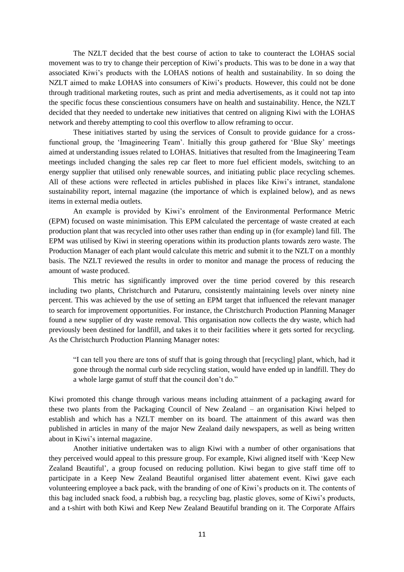The NZLT decided that the best course of action to take to counteract the LOHAS social movement was to try to change their perception of Kiwi's products. This was to be done in a way that associated Kiwi's products with the LOHAS notions of health and sustainability. In so doing the NZLT aimed to make LOHAS into consumers of Kiwi's products. However, this could not be done through traditional marketing routes, such as print and media advertisements, as it could not tap into the specific focus these conscientious consumers have on health and sustainability. Hence, the NZLT decided that they needed to undertake new initiatives that centred on aligning Kiwi with the LOHAS network and thereby attempting to cool this overflow to allow reframing to occur.

These initiatives started by using the services of Consult to provide guidance for a crossfunctional group, the 'Imagineering Team'. Initially this group gathered for 'Blue Sky' meetings aimed at understanding issues related to LOHAS. Initiatives that resulted from the Imagineering Team meetings included changing the sales rep car fleet to more fuel efficient models, switching to an energy supplier that utilised only renewable sources, and initiating public place recycling schemes. All of these actions were reflected in articles published in places like Kiwi's intranet, standalone sustainability report, internal magazine (the importance of which is explained below), and as news items in external media outlets.

An example is provided by Kiwi's enrolment of the Environmental Performance Metric (EPM) focused on waste minimisation. This EPM calculated the percentage of waste created at each production plant that was recycled into other uses rather than ending up in (for example) land fill. The EPM was utilised by Kiwi in steering operations within its production plants towards zero waste. The Production Manager of each plant would calculate this metric and submit it to the NZLT on a monthly basis. The NZLT reviewed the results in order to monitor and manage the process of reducing the amount of waste produced.

This metric has significantly improved over the time period covered by this research including two plants, Christchurch and Putaruru, consistently maintaining levels over ninety nine percent. This was achieved by the use of setting an EPM target that influenced the relevant manager to search for improvement opportunities. For instance, the Christchurch Production Planning Manager found a new supplier of dry waste removal. This organisation now collects the dry waste, which had previously been destined for landfill, and takes it to their facilities where it gets sorted for recycling. As the Christchurch Production Planning Manager notes:

"I can tell you there are tons of stuff that is going through that [recycling] plant, which, had it gone through the normal curb side recycling station, would have ended up in landfill. They do a whole large gamut of stuff that the council don't do."

Kiwi promoted this change through various means including attainment of a packaging award for these two plants from the Packaging Council of New Zealand – an organisation Kiwi helped to establish and which has a NZLT member on its board. The attainment of this award was then published in articles in many of the major New Zealand daily newspapers, as well as being written about in Kiwi's internal magazine.

Another initiative undertaken was to align Kiwi with a number of other organisations that they perceived would appeal to this pressure group. For example, Kiwi aligned itself with 'Keep New Zealand Beautiful', a group focused on reducing pollution. Kiwi began to give staff time off to participate in a Keep New Zealand Beautiful organised litter abatement event. Kiwi gave each volunteering employee a back pack, with the branding of one of Kiwi's products on it. The contents of this bag included snack food, a rubbish bag, a recycling bag, plastic gloves, some of Kiwi's products, and a t-shirt with both Kiwi and Keep New Zealand Beautiful branding on it. The Corporate Affairs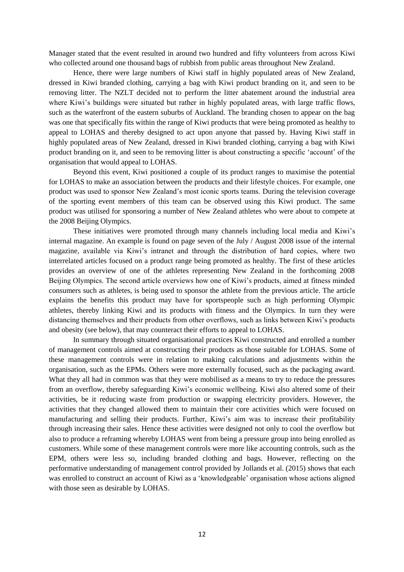Manager stated that the event resulted in around two hundred and fifty volunteers from across Kiwi who collected around one thousand bags of rubbish from public areas throughout New Zealand.

Hence, there were large numbers of Kiwi staff in highly populated areas of New Zealand, dressed in Kiwi branded clothing, carrying a bag with Kiwi product branding on it, and seen to be removing litter. The NZLT decided not to perform the litter abatement around the industrial area where Kiwi's buildings were situated but rather in highly populated areas, with large traffic flows, such as the waterfront of the eastern suburbs of Auckland. The branding chosen to appear on the bag was one that specifically fits within the range of Kiwi products that were being promoted as healthy to appeal to LOHAS and thereby designed to act upon anyone that passed by. Having Kiwi staff in highly populated areas of New Zealand, dressed in Kiwi branded clothing, carrying a bag with Kiwi product branding on it, and seen to be removing litter is about constructing a specific 'account' of the organisation that would appeal to LOHAS.

Beyond this event, Kiwi positioned a couple of its product ranges to maximise the potential for LOHAS to make an association between the products and their lifestyle choices. For example, one product was used to sponsor New Zealand's most iconic sports teams. During the television coverage of the sporting event members of this team can be observed using this Kiwi product. The same product was utilised for sponsoring a number of New Zealand athletes who were about to compete at the 2008 Beijing Olympics.

These initiatives were promoted through many channels including local media and Kiwi's internal magazine. An example is found on page seven of the July / August 2008 issue of the internal magazine, available via Kiwi's intranet and through the distribution of hard copies, where two interrelated articles focused on a product range being promoted as healthy. The first of these articles provides an overview of one of the athletes representing New Zealand in the forthcoming 2008 Beijing Olympics. The second article overviews how one of Kiwi's products, aimed at fitness minded consumers such as athletes, is being used to sponsor the athlete from the previous article. The article explains the benefits this product may have for sportspeople such as high performing Olympic athletes, thereby linking Kiwi and its products with fitness and the Olympics. In turn they were distancing themselves and their products from other overflows, such as links between Kiwi's products and obesity (see below), that may counteract their efforts to appeal to LOHAS.

In summary through situated organisational practices Kiwi constructed and enrolled a number of management controls aimed at constructing their products as those suitable for LOHAS. Some of these management controls were in relation to making calculations and adjustments within the organisation, such as the EPMs. Others were more externally focused, such as the packaging award. What they all had in common was that they were mobilised as a means to try to reduce the pressures from an overflow, thereby safeguarding Kiwi's economic wellbeing. Kiwi also altered some of their activities, be it reducing waste from production or swapping electricity providers. However, the activities that they changed allowed them to maintain their core activities which were focused on manufacturing and selling their products. Further, Kiwi's aim was to increase their profitability through increasing their sales. Hence these activities were designed not only to cool the overflow but also to produce a reframing whereby LOHAS went from being a pressure group into being enrolled as customers. While some of these management controls were more like accounting controls, such as the EPM, others were less so, including branded clothing and bags. However, reflecting on the performative understanding of management control provided by [Jollands et al. \(2015\)](#page-21-9) shows that each was enrolled to construct an account of Kiwi as a 'knowledgeable' organisation whose actions aligned with those seen as desirable by LOHAS.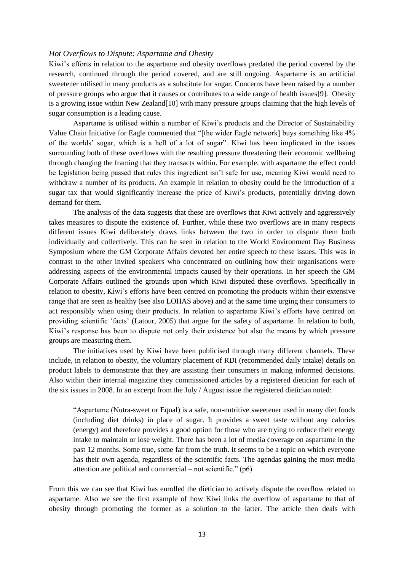## *Hot Overflows to Dispute: Aspartame and Obesity*

Kiwi's efforts in relation to the aspartame and obesity overflows predated the period covered by the research, continued through the period covered, and are still ongoing. Aspartame is an artificial sweetener utilised in many products as a substitute for sugar. Concerns have been raised by a number of pressure groups who argue that it causes or contributes to a wide range of health issues[9]. Obesity is a growing issue within New Zealand[10] with many pressure groups claiming that the high levels of sugar consumption is a leading cause.

Aspartame is utilised within a number of Kiwi's products and the Director of Sustainability Value Chain Initiative for Eagle commented that "[the wider Eagle network] buys something like 4% of the worlds' sugar, which is a hell of a lot of sugar". Kiwi has been implicated in the issues surrounding both of these overflows with the resulting pressure threatening their economic wellbeing through changing the framing that they transacts within. For example, with aspartame the effect could be legislation being passed that rules this ingredient isn't safe for use, meaning Kiwi would need to withdraw a number of its products. An example in relation to obesity could be the introduction of a sugar tax that would significantly increase the price of Kiwi's products, potentially driving down demand for them.

The analysis of the data suggests that these are overflows that Kiwi actively and aggressively takes measures to dispute the existence of. Further, while these two overflows are in many respects different issues Kiwi deliberately draws links between the two in order to dispute them both individually and collectively. This can be seen in relation to the World Environment Day Business Symposium where the GM Corporate Affairs devoted her entire speech to these issues. This was in contrast to the other invited speakers who concentrated on outlining how their organisations were addressing aspects of the environmental impacts caused by their operations. In her speech the GM Corporate Affairs outlined the grounds upon which Kiwi disputed these overflows. Specifically in relation to obesity, Kiwi's efforts have been centred on promoting the products within their extensive range that are seen as healthy (see also LOHAS above) and at the same time urging their consumers to act responsibly when using their products. In relation to aspartame Kiwi's efforts have centred on providing scientific 'facts' [\(Latour, 2005\)](#page-21-4) that argue for the safety of aspartame. In relation to both, Kiwi's response has been to dispute not only their existence but also the means by which pressure groups are measuring them.

The initiatives used by Kiwi have been publicised through many different channels. These include, in relation to obesity, the voluntary placement of RDI (recommended daily intake) details on product labels to demonstrate that they are assisting their consumers in making informed decisions. Also within their internal magazine they commissioned articles by a registered dietician for each of the six issues in 2008. In an excerpt from the July / August issue the registered dietician noted:

"Aspartame (Nutra-sweet or Equal) is a safe, non-nutritive sweetener used in many diet foods (including diet drinks) in place of sugar. It provides a sweet taste without any calories (energy) and therefore provides a good option for those who are trying to reduce their energy intake to maintain or lose weight. There has been a lot of media coverage on aspartame in the past 12 months. Some true, some far from the truth. It seems to be a topic on which everyone has their own agenda, regardless of the scientific facts. The agendas gaining the most media attention are political and commercial – not scientific."  $(p6)$ 

From this we can see that Kiwi has enrolled the dietician to actively dispute the overflow related to aspartame. Also we see the first example of how Kiwi links the overflow of aspartame to that of obesity through promoting the former as a solution to the latter. The article then deals with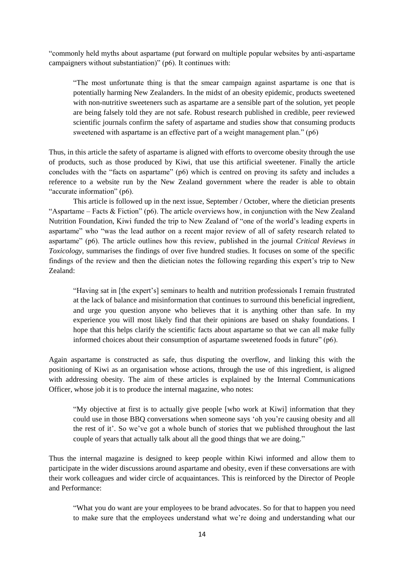"commonly held myths about aspartame (put forward on multiple popular websites by anti-aspartame campaigners without substantiation)" (p6). It continues with:

"The most unfortunate thing is that the smear campaign against aspartame is one that is potentially harming New Zealanders. In the midst of an obesity epidemic, products sweetened with non-nutritive sweeteners such as aspartame are a sensible part of the solution, yet people are being falsely told they are not safe. Robust research published in credible, peer reviewed scientific journals confirm the safety of aspartame and studies show that consuming products sweetened with aspartame is an effective part of a weight management plan." (p6)

Thus, in this article the safety of aspartame is aligned with efforts to overcome obesity through the use of products, such as those produced by Kiwi, that use this artificial sweetener. Finally the article concludes with the "facts on aspartame" (p6) which is centred on proving its safety and includes a reference to a website run by the New Zealand government where the reader is able to obtain "accurate information" (p6).

This article is followed up in the next issue, September / October, where the dietician presents "Aspartame – Facts  $\&$  Fiction" (p6). The article overviews how, in conjunction with the New Zealand Nutrition Foundation, Kiwi funded the trip to New Zealand of "one of the world's leading experts in aspartame" who "was the lead author on a recent major review of all of safety research related to aspartame" (p6). The article outlines how this review, published in the journal *Critical Reviews in Toxicology*, summarises the findings of over five hundred studies. It focuses on some of the specific findings of the review and then the dietician notes the following regarding this expert's trip to New Zealand:

"Having sat in [the expert's] seminars to health and nutrition professionals I remain frustrated at the lack of balance and misinformation that continues to surround this beneficial ingredient, and urge you question anyone who believes that it is anything other than safe. In my experience you will most likely find that their opinions are based on shaky foundations. I hope that this helps clarify the scientific facts about aspartame so that we can all make fully informed choices about their consumption of aspartame sweetened foods in future" (p6).

Again aspartame is constructed as safe, thus disputing the overflow, and linking this with the positioning of Kiwi as an organisation whose actions, through the use of this ingredient, is aligned with addressing obesity. The aim of these articles is explained by the Internal Communications Officer, whose job it is to produce the internal magazine, who notes:

"My objective at first is to actually give people [who work at Kiwi] information that they could use in those BBQ conversations when someone says 'oh you're causing obesity and all the rest of it'. So we've got a whole bunch of stories that we published throughout the last couple of years that actually talk about all the good things that we are doing."

Thus the internal magazine is designed to keep people within Kiwi informed and allow them to participate in the wider discussions around aspartame and obesity, even if these conversations are with their work colleagues and wider circle of acquaintances. This is reinforced by the Director of People and Performance:

"What you do want are your employees to be brand advocates. So for that to happen you need to make sure that the employees understand what we're doing and understanding what our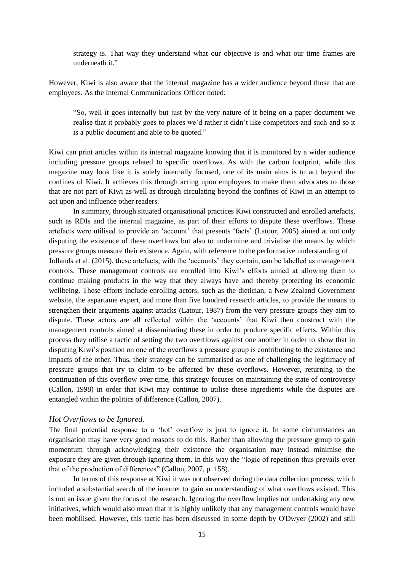strategy is. That way they understand what our objective is and what our time frames are underneath it."

However, Kiwi is also aware that the internal magazine has a wider audience beyond those that are employees. As the Internal Communications Officer noted:

"So, well it goes internally but just by the very nature of it being on a paper document we realise that it probably goes to places we'd rather it didn't like competitors and such and so it is a public document and able to be quoted."

Kiwi can print articles within its internal magazine knowing that it is monitored by a wider audience including pressure groups related to specific overflows. As with the carbon footprint, while this magazine may look like it is solely internally focused, one of its main aims is to act beyond the confines of Kiwi. It achieves this through acting upon employees to make them advocates to those that are not part of Kiwi as well as through circulating beyond the confines of Kiwi in an attempt to act upon and influence other readers.

In summary, through situated organisational practices Kiwi constructed and enrolled artefacts, such as RDIs and the internal magazine, as part of their efforts to dispute these overflows. These artefacts were utilised to provide an 'account' that presents 'facts' [\(Latour, 2005\)](#page-21-4) aimed at not only disputing the existence of these overflows but also to undermine and trivialise the means by which pressure groups measure their existence. Again, with reference to the performative understanding of [Jollands et al. \(2015\),](#page-21-9) these artefacts, with the 'accounts' they contain, can be labelled as management controls. These management controls are enrolled into Kiwi's efforts aimed at allowing them to continue making products in the way that they always have and thereby protecting its economic wellbeing. These efforts include enrolling actors, such as the dietician, a New Zealand Government website, the aspartame expert, and more than five hundred research articles, to provide the means to strengthen their arguments against attacks [\(Latour, 1987\)](#page-21-16) from the very pressure groups they aim to dispute. These actors are all reflected within the 'accounts' that Kiwi then construct with the management controls aimed at disseminating these in order to produce specific effects. Within this process they utilise a tactic of setting the two overflows against one another in order to show that in disputing Kiwi's position on one of the overflows a pressure group is contributing to the existence and impacts of the other. Thus, their strategy can be summarised as one of challenging the legitimacy of pressure groups that try to claim to be affected by these overflows. However, returning to the continuation of this overflow over time, this strategy focuses on maintaining the state of controversy [\(Callon, 1998\)](#page-20-0) in order that Kiwi may continue to utilise these ingredients while the disputes are entangled within the politics of difference [\(Callon, 2007\)](#page-20-1).

# *Hot Overflows to be Ignored.*

The final potential response to a 'hot' overflow is just to ignore it. In some circumstances an organisation may have very good reasons to do this. Rather than allowing the pressure group to gain momentum through acknowledging their existence the organisation may instead minimise the exposure they are given through ignoring them. In this way the "logic of repetition thus prevails over that of the production of differences" (Callon, [2007, p. 158\)](#page-20-1).

In terms of this response at Kiwi it was not observed during the data collection process, which included a substantial search of the internet to gain an understanding of what overflows existed. This is not an issue given the focus of the research. Ignoring the overflow implies not undertaking any new initiatives, which would also mean that it is highly unlikely that any management controls would have been mobilised. However, this tactic has been discussed in some depth by [O'Dwyer \(2002\)](#page-22-7) and still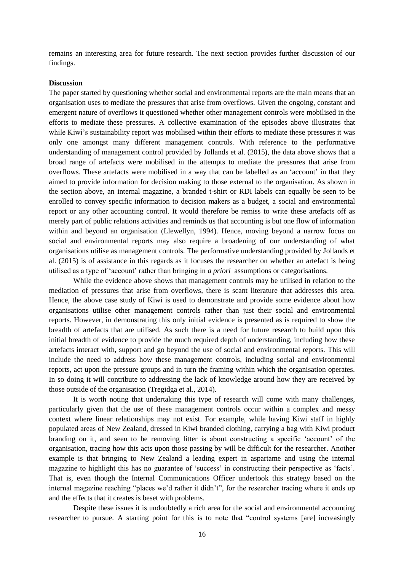remains an interesting area for future research. The next section provides further discussion of our findings.

### **Discussion**

The paper started by questioning whether social and environmental reports are the main means that an organisation uses to mediate the pressures that arise from overflows. Given the ongoing, constant and emergent nature of overflows it questioned whether other management controls were mobilised in the efforts to mediate these pressures. A collective examination of the episodes above illustrates that while Kiwi's sustainability report was mobilised within their efforts to mediate these pressures it was only one amongst many different management controls. With reference to the performative understanding of management control provided by [Jollands et al. \(2015\),](#page-21-9) the data above shows that a broad range of artefacts were mobilised in the attempts to mediate the pressures that arise from overflows. These artefacts were mobilised in a way that can be labelled as an 'account' in that they aimed to provide information for decision making to those external to the organisation. As shown in the section above, an internal magazine, a branded t-shirt or RDI labels can equally be seen to be enrolled to convey specific information to decision makers as a budget, a social and environmental report or any other accounting control. It would therefore be remiss to write these artefacts off as merely part of public relations activities and reminds us that accounting is but one flow of information within and beyond an organisation [\(Llewellyn, 1994\)](#page-21-18). Hence, moving beyond a narrow focus on social and environmental reports may also require a broadening of our understanding of what organisations utilise as management controls. The performative understanding provided by [Jollands et](#page-21-9)  al. (2015) is of assistance in this regards as it focuses the researcher on whether an artefact is being utilised as a type of 'account' rather than bringing in *a priori* assumptions or categorisations.

While the evidence above shows that management controls may be utilised in relation to the mediation of pressures that arise from overflows, there is scant literature that addresses this area. Hence, the above case study of Kiwi is used to demonstrate and provide some evidence about how organisations utilise other management controls rather than just their social and environmental reports. However, in demonstrating this only initial evidence is presented as is required to show the breadth of artefacts that are utilised. As such there is a need for future research to build upon this initial breadth of evidence to provide the much required depth of understanding, including how these artefacts interact with, support and go beyond the use of social and environmental reports. This will include the need to address how these management controls, including social and environmental reports, act upon the pressure groups and in turn the framing within which the organisation operates. In so doing it will contribute to addressing the lack of knowledge around how they are received by those outside of the organisation [\(Tregidga et al., 2014\)](#page-22-5).

It is worth noting that undertaking this type of research will come with many challenges, particularly given that the use of these management controls occur within a complex and messy context where linear relationships may not exist. For example, while having Kiwi staff in highly populated areas of New Zealand, dressed in Kiwi branded clothing, carrying a bag with Kiwi product branding on it, and seen to be removing litter is about constructing a specific 'account' of the organisation, tracing how this acts upon those passing by will be difficult for the researcher. Another example is that bringing to New Zealand a leading expert in aspartame and using the internal magazine to highlight this has no guarantee of 'success' in constructing their perspective as 'facts'. That is, even though the Internal Communications Officer undertook this strategy based on the internal magazine reaching "places we'd rather it didn't", for the researcher tracing where it ends up and the effects that it creates is beset with problems.

Despite these issues it is undoubtedly a rich area for the social and environmental accounting researcher to pursue. A starting point for this is to note that "control systems [are] increasingly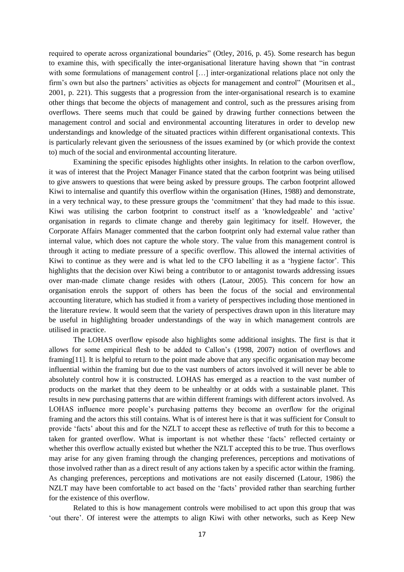required to operate across organizational boundaries" (Otley, 2016, p. 45). Some research has begun to examine this, with specifically the inter-organisational literature having shown that "in contrast with some formulations of management control [...] inter-organizational relations place not only the firm's own but also the partners' activities as objects for management and control" [\(Mouritsen et al.,](#page-22-15)  [2001, p. 221\)](#page-22-15). This suggests that a progression from the inter-organisational research is to examine other things that become the objects of management and control, such as the pressures arising from overflows. There seems much that could be gained by drawing further connections between the management control and social and environmental accounting literatures in order to develop new understandings and knowledge of the situated practices within different organisational contexts. This is particularly relevant given the seriousness of the issues examined by (or which provide the context to) much of the social and environmental accounting literature.

Examining the specific episodes highlights other insights. In relation to the carbon overflow, it was of interest that the Project Manager Finance stated that the carbon footprint was being utilised to give answers to questions that were being asked by pressure groups. The carbon footprint allowed Kiwi to internalise and quantify this overflow within the organisation [\(Hines, 1988\)](#page-21-12) and demonstrate, in a very technical way, to these pressure groups the 'commitment' that they had made to this issue. Kiwi was utilising the carbon footprint to construct itself as a 'knowledgeable' and 'active' organisation in regards to climate change and thereby gain legitimacy for itself. However, the Corporate Affairs Manager commented that the carbon footprint only had external value rather than internal value, which does not capture the whole story. The value from this management control is through it acting to mediate pressure of a specific overflow. This allowed the internal activities of Kiwi to continue as they were and is what led to the CFO labelling it as a 'hygiene factor'. This highlights that the decision over Kiwi being a contributor to or antagonist towards addressing issues over man-made climate change resides with others [\(Latour, 2005\)](#page-21-4). This concern for how an organisation enrols the support of others has been the focus of the social and environmental accounting literature, which has studied it from a variety of perspectives including those mentioned in the literature review. It would seem that the variety of perspectives drawn upon in this literature may be useful in highlighting broader understandings of the way in which management controls are utilised in practice.

The LOHAS overflow episode also highlights some additional insights. The first is that it allows for some empirical flesh to be added to Callon's [\(1998,](#page-20-0) [2007\)](#page-20-1) notion of overflows and framing[11]. It is helpful to return to the point made above that any specific organisation may become influential within the framing but due to the vast numbers of actors involved it will never be able to absolutely control how it is constructed. LOHAS has emerged as a reaction to the vast number of products on the market that they deem to be unhealthy or at odds with a sustainable planet. This results in new purchasing patterns that are within different framings with different actors involved. As LOHAS influence more people's purchasing patterns they become an overflow for the original framing and the actors this still contains. What is of interest here is that it was sufficient for Consult to provide 'facts' about this and for the NZLT to accept these as reflective of truth for this to become a taken for granted overflow. What is important is not whether these 'facts' reflected certainty or whether this overflow actually existed but whether the NZLT accepted this to be true. Thus overflows may arise for any given framing through the changing preferences, perceptions and motivations of those involved rather than as a direct result of any actions taken by a specific actor within the framing. As changing preferences, perceptions and motivations are not easily discerned (Latour, 1986) the NZLT may have been comfortable to act based on the 'facts' provided rather than searching further for the existence of this overflow.

Related to this is how management controls were mobilised to act upon this group that was 'out there'. Of interest were the attempts to align Kiwi with other networks, such as Keep New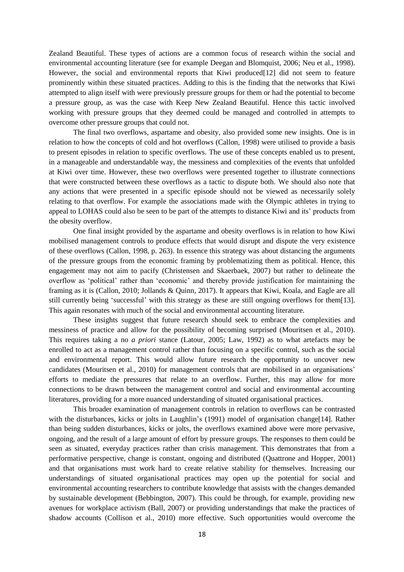Zealand Beautiful. These types of actions are a common focus of research within the social and environmental accounting literature [\(see for example Deegan and Blomquist, 2006;](#page-21-19) [Neu et al., 1998\)](#page-22-16). However, the social and environmental reports that Kiwi produced [12] did not seem to feature prominently within these situated practices. Adding to this is the finding that the networks that Kiwi attempted to align itself with were previously pressure groups for them or had the potential to become a pressure group, as was the case with Keep New Zealand Beautiful. Hence this tactic involved working with pressure groups that they deemed could be managed and controlled in attempts to overcome other pressure groups that could not.

The final two overflows, aspartame and obesity, also provided some new insights. One is in relation to how the concepts of cold and hot overflows [\(Callon, 1998\)](#page-20-0) were utilised to provide a basis to present episodes in relation to specific overflows. The use of these concepts enabled us to present, in a manageable and understandable way, the messiness and complexities of the events that unfolded at Kiwi over time. However, these two overflows were presented together to illustrate connections that were constructed between these overflows as a tactic to dispute both. We should also note that any actions that were presented in a specific episode should not be viewed as necessarily solely relating to that overflow. For example the associations made with the Olympic athletes in trying to appeal to LOHAS could also be seen to be part of the attempts to distance Kiwi and its' products from the obesity overflow.

One final insight provided by the aspartame and obesity overflows is in relation to how Kiwi mobilised management controls to produce effects that would disrupt and dispute the very existence of these overflows [\(Callon, 1998, p. 263\)](#page-20-0). In essence this strategy was about distancing the arguments of the pressure groups from the economic framing by problematizing them as political. Hence, this engagement may not aim to pacify [\(Christensen and Skaerbaek, 2007\)](#page-20-9) but rather to delineate the overflow as 'political' rather than 'economic' and thereby provide justification for maintaining the framing as it is [\(Callon, 2010;](#page-20-14) [Jollands & Quinn, 2017\)](#page-21-1). It appears that Kiwi, Koala, and Eagle are all still currently being 'successful' with this strategy as these are still ongoing overflows for them[13]. This again resonates with much of the social and environmental accounting literature.

These insights suggest that future research should seek to embrace the complexities and messiness of practice and allow for the possibility of becoming surprised [\(Mouritsen et al., 2010\)](#page-22-17). This requires taking a no *a priori* stance [\(Latour, 2005;](#page-21-4) [Law, 1992\)](#page-21-14) as to what artefacts may be enrolled to act as a management control rather than focusing on a specific control, such as the social and environmental report. This would allow future research the opportunity to uncover new candidates [\(Mouritsen et al., 2010\)](#page-22-17) for management controls that are mobilised in an organisations' efforts to mediate the pressures that relate to an overflow. Further, this may allow for more connections to be drawn between the management control and social and environmental accounting literatures, providing for a more nuanced understanding of situated organisational practices.

This broader examination of management controls in relation to overflows can be contrasted with the disturbances, kicks or jolts in Laughlin's (1991) model of organisation change[14]. Rather than being sudden disturbances, kicks or jolts, the overflows examined above were more pervasive, ongoing, and the result of a large amount of effort by pressure groups. The responses to them could be seen as situated, everyday practices rather than crisis management. This demonstrates that from a performative perspective, change is constant, ongoing and distributed [\(Quattrone and Hopper, 2001\)](#page-22-18) and that organisations must work hard to create relative stability for themselves. Increasing our understandings of situated organisational practices may open up the potential for social and environmental accounting researchers to contribute knowledge that assists with the changes demanded by sustainable development (Bebbington, 2007). This could be through, for example, providing new avenues for workplace activism [\(Ball, 2007\)](#page-20-7) or providing understandings that make the practices of shadow accounts [\(Collison et al., 2010\)](#page-20-19) more effective. Such opportunities would overcome the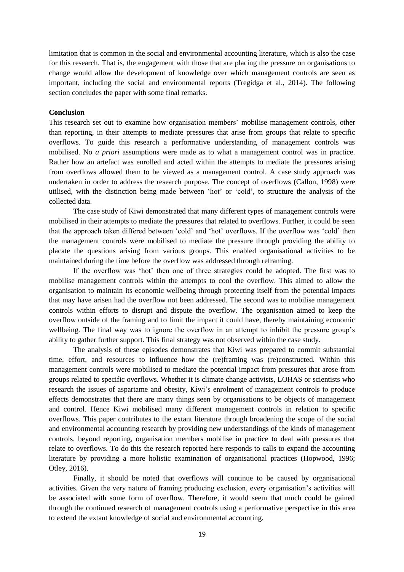limitation that is common in the social and environmental accounting literature, which is also the case for this research. That is, the engagement with those that are placing the pressure on organisations to change would allow the development of knowledge over which management controls are seen as important, including the social and environmental reports [\(Tregidga et al., 2014\)](#page-22-5). The following section concludes the paper with some final remarks.

### **Conclusion**

This research set out to examine how organisation members' mobilise management controls, other than reporting, in their attempts to mediate pressures that arise from groups that relate to specific overflows. To guide this research a performative understanding of management controls was mobilised. No *a priori* assumptions were made as to what a management control was in practice. Rather how an artefact was enrolled and acted within the attempts to mediate the pressures arising from overflows allowed them to be viewed as a management control. A case study approach was undertaken in order to address the research purpose. The concept of overflows [\(Callon, 1998\)](#page-20-0) were utilised, with the distinction being made between 'hot' or 'cold', to structure the analysis of the collected data.

The case study of Kiwi demonstrated that many different types of management controls were mobilised in their attempts to mediate the pressures that related to overflows. Further, it could be seen that the approach taken differed between 'cold' and 'hot' overflows. If the overflow was 'cold' then the management controls were mobilised to mediate the pressure through providing the ability to placate the questions arising from various groups. This enabled organisational activities to be maintained during the time before the overflow was addressed through reframing.

If the overflow was 'hot' then one of three strategies could be adopted. The first was to mobilise management controls within the attempts to cool the overflow. This aimed to allow the organisation to maintain its economic wellbeing through protecting itself from the potential impacts that may have arisen had the overflow not been addressed. The second was to mobilise management controls within efforts to disrupt and dispute the overflow. The organisation aimed to keep the overflow outside of the framing and to limit the impact it could have, thereby maintaining economic wellbeing. The final way was to ignore the overflow in an attempt to inhibit the pressure group's ability to gather further support. This final strategy was not observed within the case study.

The analysis of these episodes demonstrates that Kiwi was prepared to commit substantial time, effort, and resources to influence how the (re)framing was (re)constructed. Within this management controls were mobilised to mediate the potential impact from pressures that arose from groups related to specific overflows. Whether it is climate change activists, LOHAS or scientists who research the issues of aspartame and obesity, Kiwi's enrolment of management controls to produce effects demonstrates that there are many things seen by organisations to be objects of management and control. Hence Kiwi mobilised many different management controls in relation to specific overflows. This paper contributes to the extant literature through broadening the scope of the social and environmental accounting research by providing new understandings of the kinds of management controls, beyond reporting, organisation members mobilise in practice to deal with pressures that relate to overflows. To do this the research reported here responds to calls to expand the accounting literature by providing a more holistic examination of organisational practices [\(Hopwood, 1996;](#page-21-20) Otley, 2016).

Finally, it should be noted that overflows will continue to be caused by organisational activities. Given the very nature of framing producing exclusion, every organisation's activities will be associated with some form of overflow. Therefore, it would seem that much could be gained through the continued research of management controls using a performative perspective in this area to extend the extant knowledge of social and environmental accounting.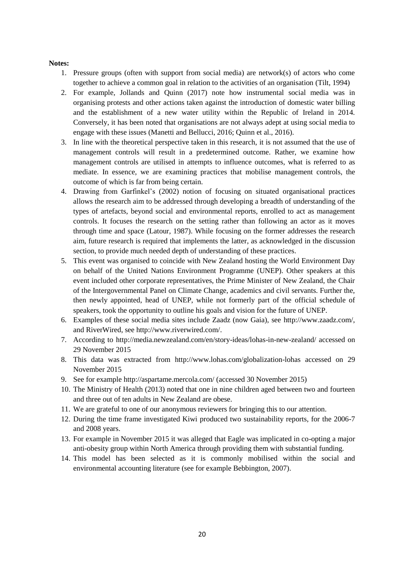## **Notes:**

- 1. Pressure groups (often with support from social media) are network(s) of actors who come together to achieve a common goal in relation to the activities of an organisation [\(Tilt, 1994\)](#page-22-0)
- 2. For example, [Jollands and Quinn \(2017\)](#page-21-1) note how instrumental social media was in organising protests and other actions taken against the introduction of domestic water billing and the establishment of a new water utility within the Republic of Ireland in 2014. Conversely, it has been noted that organisations are not always adept at using social media to engage with these issues [\(Manetti and Bellucci, 2016;](#page-22-19) [Quinn et al., 2016\)](#page-22-20).
- 3. In line with the theoretical perspective taken in this research, it is not assumed that the use of management controls will result in a predetermined outcome. Rather, we examine how management controls are utilised in attempts to influence outcomes, what is referred to as mediate. In essence, we are examining practices that mobilise management controls, the outcome of which is far from being certain.
- 4. Drawing from Garfinkel's [\(2002\)](#page-21-3) notion of focusing on situated organisational practices allows the research aim to be addressed through developing a breadth of understanding of the types of artefacts, beyond social and environmental reports, enrolled to act as management controls. It focuses the research on the setting rather than following an actor as it moves through time and space [\(Latour, 1987\)](#page-21-16). While focusing on the former addresses the research aim, future research is required that implements the latter, as acknowledged in the discussion section, to provide much needed depth of understanding of these practices.
- 5. This event was organised to coincide with New Zealand hosting the World Environment Day on behalf of the United Nations Environment Programme (UNEP). Other speakers at this event included other corporate representatives, the Prime Minister of New Zealand, the Chair of the Intergovernmental Panel on Climate Change, academics and civil servants. Further the, then newly appointed, head of UNEP, while not formerly part of the official schedule of speakers, took the opportunity to outline his goals and vision for the future of UNEP.
- 6. Examples of these social media sites include Zaadz (now Gaia), see [http://www.zaadz.com/,](http://www.zaadz.com/) and RiverWired, see [http://www.riverwired.com/.](http://www.riverwired.com/)
- 7. According to<http://media.newzealand.com/en/story-ideas/lohas-in-new-zealand/> accessed on 29 November 2015
- 8. This data was extracted from <http://www.lohas.com/globalization-lohas> accessed on 29 November 2015
- 9. See for example<http://aspartame.mercola.com/> (accessed 30 November 2015)
- 10. The [Ministry of Health \(2013\)](#page-22-21) noted that one in nine children aged between two and fourteen and three out of ten adults in New Zealand are obese.
- 11. We are grateful to one of our anonymous reviewers for bringing this to our attention.
- 12. During the time frame investigated Kiwi produced two sustainability reports, for the 2006-7 and 2008 years.
- 13. For example in November 2015 it was alleged that Eagle was implicated in co-opting a major anti-obesity group within North America through providing them with substantial funding.
- 14. This model has been selected as it is commonly mobilised within the social and environmental accounting literature (see for example Bebbington, 2007).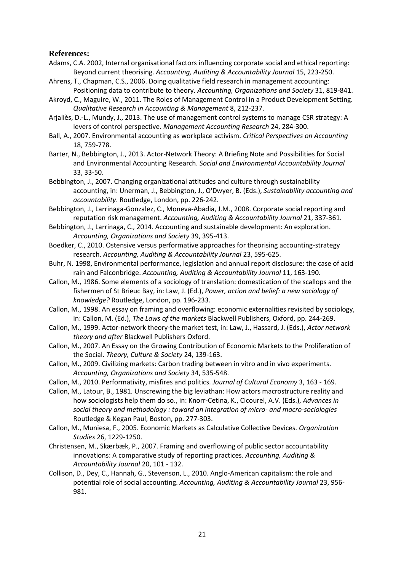# <span id="page-20-2"></span>**References:**

- Adams, C.A. 2002, Internal organisational factors influencing corporate social and ethical reporting: Beyond current theorising. *Accounting, Auditing & Accountability Journal* 15, 223-250.
- <span id="page-20-17"></span>Ahrens, T., Chapman, C.S., 2006. Doing qualitative field research in management accounting: Positioning data to contribute to theory. *Accounting, Organizations and Society* 31, 819-841.
- <span id="page-20-13"></span>Akroyd, C., Maguire, W., 2011. The Roles of Management Control in a Product Development Setting. *Qualitative Research in Accounting & Management* 8, 212-237.
- <span id="page-20-7"></span>Arjaliès, D.-L., Mundy, J., 2013. The use of management control systems to manage CSR strategy: A levers of control perspective. *Management Accounting Research* 24, 284-300.
- <span id="page-20-10"></span>Ball, A., 2007. Environmental accounting as workplace activism. *Critical Perspectives on Accounting* 18, 759-778.
- <span id="page-20-6"></span>Barter, N., Bebbington, J., 2013. Actor-Network Theory: A Briefing Note and Possibilities for Social and Environmental Accounting Research. *Social and Environmental Accountability Journal* 33, 33-50.
- <span id="page-20-11"></span>Bebbington, J., 2007. Changing organizational attitudes and culture through sustainability accounting, in: Unerman, J., Bebbington, J., O'Dwyer, B. (Eds.), *Sustainability accounting and accountability*. Routledge, London, pp. 226-242.
- <span id="page-20-3"></span>Bebbington, J., Larrinaga-Gonzalez, C., Moneva-Abadia, J.M., 2008. Corporate social reporting and reputation risk management. *Accounting, Auditing & Accountability Journal* 21, 337-361.
- <span id="page-20-12"></span>Bebbington, J., Larrinaga, C., 2014. Accounting and sustainable development: An exploration. *Accounting, Organizations and Society* 39, 395-413.
- <span id="page-20-0"></span>Boedker, C., 2010. Ostensive versus performative approaches for theorising accounting-strategy research. *Accounting, Auditing & Accountability Journal* 23, 595-625.
- <span id="page-20-1"></span>Buhr, N. 1998, Environmental performance, legislation and annual report disclosure: the case of acid rain and Falconbridge. *Accounting, Auditing & Accountability Journal* 11, 163-190.
- Callon, M., 1986. Some elements of a sociology of translation: domestication of the scallops and the fishermen of St Brieuc Bay, in: Law, J. (Ed.), *Power, action and belief: a new sociology of knowledge?* Routledge, London, pp. 196-233.
- <span id="page-20-15"></span>Callon, M., 1998. An essay on framing and overflowing: economic externalities revisited by sociology, in: Callon, M. (Ed.), *The Laws of the markets* Blackwell Publishers, Oxford, pp. 244-269.
- <span id="page-20-14"></span>Callon, M., 1999. Actor-network theory-the market test, in: Law, J., Hassard, J. (Eds.), *Actor network theory and after* Blackwell Publishers Oxford.
- <span id="page-20-16"></span>Callon, M., 2007. An Essay on the Growing Contribution of Economic Markets to the Proliferation of the Social. *Theory, Culture & Society* 24, 139-163.
- <span id="page-20-18"></span>Callon, M., 2009. Civilizing markets: Carbon trading between in vitro and in vivo experiments. *Accounting, Organizations and Society* 34, 535-548.
- <span id="page-20-9"></span>Callon, M., 2010. Performativity, misfires and politics. *Journal of Cultural Economy* 3, 163 - 169.
- <span id="page-20-19"></span>Callon, M., Latour, B., 1981. Unscrewing the big leviathan: How actors macrostructure reality and how sociologists help them do so., in: Knorr-Cetina, K., Cicourel, A.V. (Eds.), *Advances in social theory and methodology : toward an integration of micro- and macro-sociologies* Routledge & Kegan Paul, Boston, pp. 277-303.
- <span id="page-20-8"></span>Callon, M., Muniesa, F., 2005. Economic Markets as Calculative Collective Devices. *Organization Studies* 26, 1229-1250.
- <span id="page-20-4"></span>Christensen, M., Skærbæk, P., 2007. Framing and overflowing of public sector accountability innovations: A comparative study of reporting practices. *Accounting, Auditing & Accountability Journal* 20, 101 - 132.
- <span id="page-20-5"></span>Collison, D., Dey, C., Hannah, G., Stevenson, L., 2010. Anglo-American capitalism: the role and potential role of social accounting. *Accounting, Auditing & Accountability Journal* 23, 956- 981.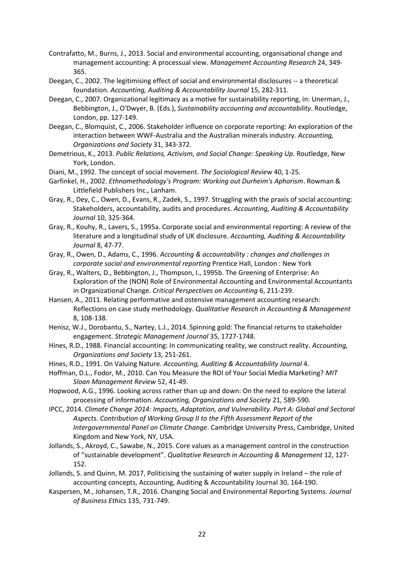- <span id="page-21-19"></span>Contrafatto, M., Burns, J., 2013. Social and environmental accounting, organisational change and management accounting: A processual view. *Management Accounting Research* 24, 349- 365.
- <span id="page-21-17"></span>Deegan, C., 2002. The legitimising effect of social and environmental disclosures -- a theoretical foundation. *Accounting, Auditing & Accountability Journal* 15, 282-311.
- <span id="page-21-3"></span>Deegan, C., 2007. Organizational legitimacy as a motive for sustainability reporting, in: Unerman, J., Bebbington, J., O'Dwyer, B. (Eds.), *Sustainability accounting and accountability*. Routledge, London, pp. 127-149.
- <span id="page-21-5"></span>Deegan, C., Blomquist, C., 2006. Stakeholder influence on corporate reporting: An exploration of the interaction between WWF-Australia and the Australian minerals industry. *Accounting, Organizations and Society* 31, 343-372.
- <span id="page-21-6"></span>Demetrious, K., 2013. *Public Relations, Activism, and Social Change: Speaking Up*. Routledge, New York, London.
- <span id="page-21-8"></span>Diani, M., 1992. The concept of social movement. *The Sociological Review* 40, 1-25.
- <span id="page-21-13"></span>Garfinkel, H., 2002. *Ethnomethodology's Program: Working out Durheim's Aphorism*. Rowman & Littlefield Publishers Inc., Lanham.
- <span id="page-21-10"></span>Gray, R., Dey, C., Owen, D., Evans, R., Zadek, S., 1997. Struggling with the praxis of social accounting: Stakeholders, accountability, audits and procedures. *Accounting, Auditing & Accountability Journal* 10, 325-364.
- <span id="page-21-12"></span>Gray, R., Kouhy, R., Lavers, S., 1995a. Corporate social and environmental reporting: A review of the literature and a longitudinal study of UK disclosure. *Accounting, Auditing & Accountability Journal* 8, 47-77.
- <span id="page-21-0"></span>Gray, R., Owen, D., Adams, C., 1996. *Accounting & accountability : changes and challenges in corporate social and environmental reporting* Prentice Hall, London : New York
- <span id="page-21-11"></span>Gray, R., Walters, D., Bebbington, J., Thompson, I., 1995b. The Greening of Enterprise: An Exploration of the (NON) Role of Environmental Accounting and Environmental Accountants in Organizational Change. *Critical Perspectives on Accounting* 6, 211-239.
- <span id="page-21-20"></span>Hansen, A., 2011. Relating performative and ostensive management accounting research: Reflections on case study methodology. *Qualitative Research in Accounting & Management* 8, 108-138.
- <span id="page-21-15"></span>Henisz, W.J., Dorobantu, S., Nartey, L.J., 2014. Spinning gold: The financial returns to stakeholder engagement. *Strategic Management Journal* 35, 1727-1748.
- <span id="page-21-9"></span>Hines, R.D., 1988. Financial accounting: In communicating reality, we construct reality. *Accounting, Organizations and Society* 13, 251-261.
- <span id="page-21-1"></span>Hines, R.D., 1991. On Valuing Nature. *Accounting, Auditing & Accountability Journal* 4.
- <span id="page-21-7"></span>Hoffman, D.L., Fodor, M., 2010. Can You Measure the ROI of Your Social Media Marketing? *MIT Sloan Management Review* 52, 41-49.
- <span id="page-21-2"></span>Hopwood, A.G., 1996. Looking across rather than up and down: On the need to explore the lateral processing of information. *Accounting, Organizations and Society* 21, 589-590.
- <span id="page-21-16"></span>IPCC, 2014. *Climate Change 2014: Impacts, Adaptation, and Vulnerability. Part A: Global and Sectoral Aspects. Contribution of Working Group II to the Fifth Assessment Report of the Intergovernmental Panel on Climate Change*. Cambridge University Press, Cambridge, United Kingdom and New York, NY, USA.
- <span id="page-21-4"></span>Jollands, S., Akroyd, C., Sawabe, N., 2015. Core values as a management control in the construction of "sustainable development". *Qualitative Research in Accounting & Management* 12, 127- 152.
- <span id="page-21-14"></span>Jollands, S. and Quinn, M. 2017, Politicising the sustaining of water supply in Ireland – the role of accounting concepts, Accounting, Auditing & Accountability Journal 30, 164-190.
- <span id="page-21-18"></span>Kaspersen, M., Johansen, T.R., 2016. Changing Social and Environmental Reporting Systems. *Journal of Business Ethics* 135, 731-749.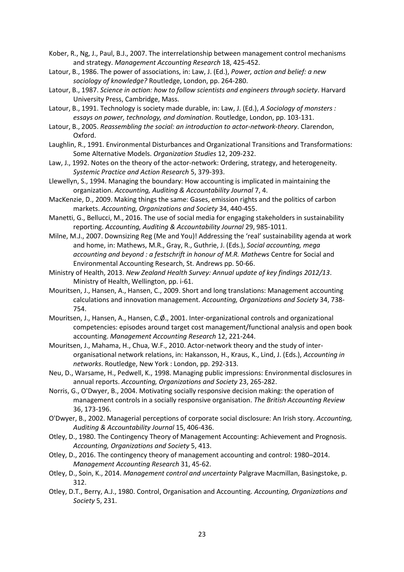<span id="page-22-14"></span>Kober, R., Ng, J., Paul, B.J., 2007. The interrelationship between management control mechanisms and strategy. *Management Accounting Research* 18, 425-452.

- <span id="page-22-19"></span>Latour, B., 1986. The power of associations, in: Law, J. (Ed.), *Power, action and belief: a new sociology of knowledge?* Routledge, London, pp. 264-280.
- <span id="page-22-2"></span>Latour, B., 1987. *Science in action: how to follow scientists and engineers through society*. Harvard University Press, Cambridge, Mass.
- <span id="page-22-21"></span>Latour, B., 1991. Technology is society made durable, in: Law, J. (Ed.), *A Sociology of monsters : essays on power, technology, and domination*. Routledge, London, pp. 103-131.
- <span id="page-22-12"></span>Latour, B., 2005. *Reassembling the social: an introduction to actor-network-theory*. Clarendon, Oxford.
- <span id="page-22-15"></span>Laughlin, R., 1991. Environmental Disturbances and Organizational Transitions and Transformations: Some Alternative Models. *Organization Studies* 12, 209-232.
- <span id="page-22-17"></span>Law, J., 1992. Notes on the theory of the actor-network: Ordering, strategy, and heterogeneity. *Systemic Practice and Action Research* 5, 379-393.
- <span id="page-22-16"></span>Llewellyn, S., 1994. Managing the boundary: How accounting is implicated in maintaining the organization. *Accounting, Auditing & Accountability Journal* 7, 4.
- <span id="page-22-8"></span>MacKenzie, D., 2009. Making things the same: Gases, emission rights and the politics of carbon markets. *Accounting, Organizations and Society* 34, 440-455.
- <span id="page-22-7"></span>Manetti, G., Bellucci, M., 2016. The use of social media for engaging stakeholders in sustainability reporting. *Accounting, Auditing & Accountability Journal* 29, 985-1011.
- <span id="page-22-1"></span>Milne, M.J., 2007. Downsizing Reg (Me and You)! Addressing the 'real' sustainability agenda at work and home, in: Mathews, M.R., Gray, R., Guthrie, J. (Eds.), *Social accounting, mega accounting and beyond : a festschrift in honour of M.R. Mathews* Centre for Social and Environmental Accounting Research, St. Andrews pp. 50-66.
- <span id="page-22-9"></span>Ministry of Health, 2013. *New Zealand Health Survey: Annual update of key findings 2012/13*. Ministry of Health, Wellington, pp. i-61.
- <span id="page-22-3"></span>Mouritsen, J., Hansen, A., Hansen, C., 2009. Short and long translations: Management accounting calculations and innovation management. *Accounting, Organizations and Society* 34, 738- 754.
- <span id="page-22-18"></span>Mouritsen, J., Hansen, A., Hansen, C.Ø., 2001. Inter-organizational controls and organizational competencies: episodes around target cost management/functional analysis and open book accounting. *Management Accounting Research* 12, 221-244.
- <span id="page-22-20"></span>Mouritsen, J., Mahama, H., Chua, W.F., 2010. Actor-network theory and the study of interorganisational network relations, in: Hakansson, H., Kraus, K., Lind, J. (Eds.), *Accounting in networks*. Routledge, New York : London, pp. 292-313.
- <span id="page-22-6"></span>Neu, D., Warsame, H., Pedwell, K., 1998. Managing public impressions: Environmental disclosures in annual reports. *Accounting, Organizations and Society* 23, 265-282.
- <span id="page-22-11"></span>Norris, G., O'Dwyer, B., 2004. Motivating socially responsive decision making: the operation of management controls in a socially responsive organisation. *The British Accounting Review* 36, 173-196.
- <span id="page-22-4"></span>O'Dwyer, B., 2002. Managerial perceptions of corporate social disclosure: An Irish story. *Accounting, Auditing & Accountability Journal* 15, 406-436.
- <span id="page-22-13"></span>Otley, D., 1980. The Contingency Theory of Management Accounting: Achievement and Prognosis. *Accounting, Organizations and Society* 5, 413.
- <span id="page-22-10"></span>Otley, D., 2016. The contingency theory of management accounting and control: 1980–2014. *Management Accounting Research* 31, 45-62.
- <span id="page-22-0"></span>Otley, D., Soin, K., 2014. *Management control and uncertainty* Palgrave Macmillan, Basingstoke, p. 312.
- <span id="page-22-5"></span>Otley, D.T., Berry, A.J., 1980. Control, Organisation and Accounting. *Accounting, Organizations and Society* 5, 231.